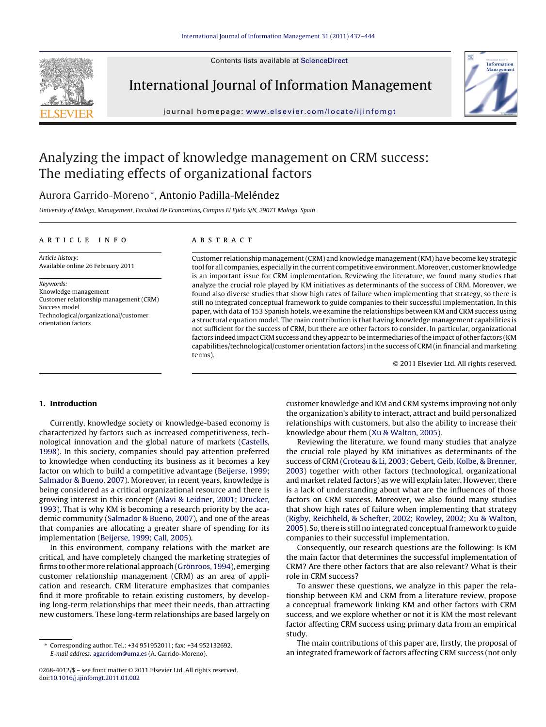Contents lists available at [ScienceDirect](http://www.sciencedirect.com/science/journal/02684012)



International Journal of Information Management



iournal homepage: [www.elsevier.com/locate/ijinfomgt](http://www.elsevier.com/locate/ijinfomgt)

## Analyzing the impact of knowledge management on CRM success: The mediating effects of organizational factors

### Aurora Garrido-Moreno∗, Antonio Padilla-Meléndez

University of Malaga, Management, Facultad De Economicas, Campus El Ejido S/N, 29071 Malaga, Spain

#### ARTICLE INFO

Article history: Available online 26 February 2011

Keywords: Knowledge management Customer relationship management (CRM) Success model Technological/organizational/customer orientation factors

#### A B S T R A C T

Customer relationship management(CRM) and knowledge management(KM) have become key strategic tool for all companies, especially in the current competitive environment. Moreover, customer knowledge is an important issue for CRM implementation. Reviewing the literature, we found many studies that analyze the crucial role played by KM initiatives as determinants of the success of CRM. Moreover, we found also diverse studies that show high rates of failure when implementing that strategy, so there is still no integrated conceptual framework to guide companies to their successful implementation. In this paper, with data of 153 Spanish hotels, we examine the relationships between KM and CRM success using a structural equation model. The main contribution is that having knowledge management capabilities is not sufficient for the success of CRM, but there are other factors to consider. In particular, organizational factors indeed impact CRM success and they appear to be intermediaries of the impact of other factors (KM capabilities/technological/customer orientation factors)in the success of CRM (in financial and marketing terms).

© 2011 Elsevier Ltd. All rights reserved.

#### **1. Introduction**

Currently, knowledge society or knowledge-based economy is characterized by factors such as increased competitiveness, technological innovation and the global nature of markets [\(Castells,](#page--1-0) [1998\).](#page--1-0) In this society, companies should pay attention preferred to knowledge when conducting its business as it becomes a key factor on which to build a competitive advantage ([Beijerse,](#page--1-0) [1999;](#page--1-0) [Salmador](#page--1-0) [&](#page--1-0) [Bueno,](#page--1-0) [2007\).](#page--1-0) Moreover, in recent years, knowledge is being considered as a critical organizational resource and there is growing interest in this concept ([Alavi](#page--1-0) [&](#page--1-0) [Leidner,](#page--1-0) [2001;](#page--1-0) [Drucker,](#page--1-0) [1993\).](#page--1-0) That is why KM is becoming a research priority by the academic community [\(Salmador](#page--1-0) [&](#page--1-0) [Bueno,](#page--1-0) [2007\),](#page--1-0) and one of the areas that companies are allocating a greater share of spending for its implementation ([Beijerse,](#page--1-0) [1999;](#page--1-0) [Call,](#page--1-0) [2005\).](#page--1-0)

In this environment, company relations with the market are critical, and have completely changed the marketing strategies of firms to other more relational approach ([Grönroos,](#page--1-0) [1994\),](#page--1-0) emerging customer relationship management (CRM) as an area of application and research. CRM literature emphasizes that companies find it more profitable to retain existing customers, by developing long-term relationships that meet their needs, than attracting new customers. These long-term relationships are based largely on

customer knowledge and KM and CRM systems improving not only the organization's ability to interact, attract and build personalized relationships with customers, but also the ability to increase their knowledge about them ([Xu](#page--1-0) [&](#page--1-0) [Walton,](#page--1-0) [2005\).](#page--1-0)

Reviewing the literature, we found many studies that analyze the crucial role played by KM initiatives as determinants of the success of CRM [\(Croteau](#page--1-0) [&](#page--1-0) [Li,](#page--1-0) [2003;](#page--1-0) [Gebert,](#page--1-0) [Geib,](#page--1-0) [Kolbe,](#page--1-0) [&](#page--1-0) [Brenner,](#page--1-0) [2003\)](#page--1-0) together with other factors (technological, organizational and market related factors) as we will explain later. However, there is a lack of understanding about what are the influences of those factors on CRM success. Moreover, we also found many studies that show high rates of failure when implementing that strategy [\(Rigby,](#page--1-0) [Reichheld,](#page--1-0) [&](#page--1-0) [Schefter,](#page--1-0) [2002;](#page--1-0) [Rowley,](#page--1-0) [2002;](#page--1-0) [Xu](#page--1-0) [&](#page--1-0) [Walton,](#page--1-0) [2005\).](#page--1-0) So, there is still no integrated conceptual framework to guide companies to their successful implementation.

Consequently, our research questions are the following: Is KM the main factor that determines the successful implementation of CRM? Are there other factors that are also relevant? What is their role in CRM success?

To answer these questions, we analyze in this paper the relationship between KM and CRM from a literature review, propose a conceptual framework linking KM and other factors with CRM success, and we explore whether or not it is KM the most relevant factor affecting CRM success using primary data from an empirical study.

The main contributions of this paper are, firstly, the proposal of an integrated framework of factors affecting CRM success (not only

<sup>∗</sup> Corresponding author. Tel.: +34 951952011; fax: +34 952132692. E-mail address: [agarridom@uma.es](mailto:agarridom@uma.es) (A. Garrido-Moreno).

<sup>0268-4012/\$</sup> – see front matter © 2011 Elsevier Ltd. All rights reserved. doi:[10.1016/j.ijinfomgt.2011.01.002](dx.doi.org/10.1016/j.ijinfomgt.2011.01.002)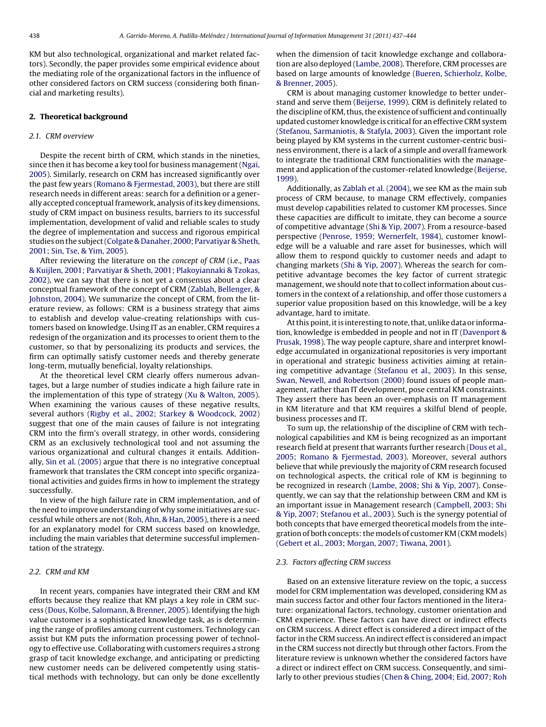KM but also technological, organizational and market related factors). Secondly, the paper provides some empirical evidence about the mediating role of the organizational factors in the influence of other considered factors on CRM success (considering both financial and marketing results).

#### **2. Theoretical background**

#### 2.1. CRM overview

Despite the recent birth of CRM, which stands in the nineties, since then it has become a key tool for business management[\(Ngai,](#page--1-0) [2005\).](#page--1-0) Similarly, research on CRM has increased significantly over the past few years [\(Romano](#page--1-0) [&](#page--1-0) [Fjermestad,](#page--1-0) [2003\),](#page--1-0) but there are still research needs in different areas: search for a definition or a generally accepted conceptual framework, analysis of its key dimensions, study of CRM impact on business results, barriers to its successful implementation, development of valid and reliable scales to study the degree of implementation and success and rigorous empirical studies on the subject([Colgate](#page--1-0) [&](#page--1-0) [Danaher,](#page--1-0) [2000;](#page--1-0) [Parvatiyar](#page--1-0) [&](#page--1-0) [Sheth,](#page--1-0) [2001;](#page--1-0) [Sin,](#page--1-0) [Tse,](#page--1-0) [&](#page--1-0) [Yim,](#page--1-0) [2005\).](#page--1-0)

After reviewing the literature on the concept of CRM (i.e., [Paas](#page--1-0) [&](#page--1-0) [Kuijlen,](#page--1-0) [2001;](#page--1-0) [Parvatiyar](#page--1-0) [&](#page--1-0) [Sheth,](#page--1-0) [2001;](#page--1-0) [Plakoyiannaki](#page--1-0) [&](#page--1-0) [Tzokas,](#page--1-0) [2002\),](#page--1-0) we can say that there is not yet a consensus about a clear conceptual framework of the concept of CRM [\(Zablah,](#page--1-0) [Bellenger,](#page--1-0) [&](#page--1-0) [Johnston,](#page--1-0) [2004\).](#page--1-0) We summarize the concept of CRM, from the literature review, as follows: CRM is a business strategy that aims to establish and develop value-creating relationships with customers based on knowledge. Using IT as an enabler, CRM requires a redesign of the organization and its processes to orient them to the customer, so that by personalizing its products and services, the firm can optimally satisfy customer needs and thereby generate long-term, mutually beneficial, loyalty relationships.

At the theoretical level CRM clearly offers numerous advantages, but a large number of studies indicate a high failure rate in the implementation of this type of strategy ([Xu](#page--1-0) [&](#page--1-0) [Walton,](#page--1-0) [2005\).](#page--1-0) When examining the various causes of these negative results, several authors [\(Rigby](#page--1-0) et [al.,](#page--1-0) [2002;](#page--1-0) [Starkey](#page--1-0) [&](#page--1-0) [Woodcock,](#page--1-0) [2002\)](#page--1-0) suggest that one of the main causes of failure is not integrating CRM into the firm's overall strategy, in other words, considering CRM as an exclusively technological tool and not assuming the various organizational and cultural changes it entails. Additionally, [Sin](#page--1-0) et [al.](#page--1-0) [\(2005\)](#page--1-0) argue that there is no integrative conceptual framework that translates the CRM concept into specific organizational activities and guides firms in how to implement the strategy successfully.

In view of the high failure rate in CRM implementation, and of the need to improve understanding of why some initiatives are successful while others are not ([Roh,](#page--1-0) [Ahn,](#page--1-0) [&](#page--1-0) [Han,](#page--1-0) [2005\),](#page--1-0) there is a need for an explanatory model for CRM success based on knowledge, including the main variables that determine successful implementation of the strategy.

#### 2.2. CRM and KM

In recent years, companies have integrated their CRM and KM efforts because they realize that KM plays a key role in CRM success [\(Dous,](#page--1-0) [Kolbe,](#page--1-0) [Salomann,](#page--1-0) [&](#page--1-0) [Brenner,](#page--1-0) [2005\).](#page--1-0) Identifying the high value customer is a sophisticated knowledge task, as is determining the range of profiles among current customers. Technology can assist but KM puts the information processing power of technology to effective use. Collaborating with customers requires a strong grasp of tacit knowledge exchange, and anticipating or predicting new customer needs can be delivered competently using statistical methods with technology, but can only be done excellently

when the dimension of tacit knowledge exchange and collaboration are also deployed [\(Lambe,](#page--1-0) [2008\).](#page--1-0) Therefore, CRM processes are based on large amounts of knowledge [\(Bueren,](#page--1-0) [Schierholz,](#page--1-0) [Kolbe,](#page--1-0) [&](#page--1-0) [Brenner,](#page--1-0) [2005\).](#page--1-0)

CRM is about managing customer knowledge to better understand and serve them ([Beijerse,](#page--1-0) [1999\).](#page--1-0) CRM is definitely related to the discipline of KM, thus, the existence of sufficient and continually updated customer knowledge is critical for an effective CRM system [\(Stefanou,](#page--1-0) [Sarmaniotis,](#page--1-0) [&](#page--1-0) [Stafyla,](#page--1-0) [2003\).](#page--1-0) Given the important role being played by KM systems in the current customer-centric business environment, there is a lack of a simple and overall framework to integrate the traditional CRM functionalities with the management and application of the customer-related knowledge ([Beijerse,](#page--1-0) [1999\).](#page--1-0)

Additionally, as [Zablah](#page--1-0) et [al.](#page--1-0) [\(2004\),](#page--1-0) we see KM as the main sub process of CRM because, to manage CRM effectively, companies must develop capabilities related to customer KM processes. Since these capacities are difficult to imitate, they can become a source of competitive advantage ([Shi](#page--1-0) [&](#page--1-0) [Yip,](#page--1-0) [2007\).](#page--1-0) From a resource-based perspective ([Penrose,](#page--1-0) [1959;](#page--1-0) [Wernerfelt,](#page--1-0) [1984\),](#page--1-0) customer knowledge will be a valuable and rare asset for businesses, which will allow them to respond quickly to customer needs and adapt to changing markets [\(Shi](#page--1-0) [&](#page--1-0) [Yip,](#page--1-0) [2007\).](#page--1-0) Whereas the search for competitive advantage becomes the key factor of current strategic management, we should note that to collect information about customers in the context of a relationship, and offer those customers a superior value proposition based on this knowledge, will be a key advantage, hard to imitate.

At this point, it is interesting to note, that, unlike data or information, knowledge is embedded in people and not in IT ([Davenport](#page--1-0) [&](#page--1-0) [Prusak,](#page--1-0) [1998\).](#page--1-0) The way people capture, share and interpret knowledge accumulated in organizational repositories is very important in operational and strategic business activities aiming at retaining competitive advantage ([Stefanou](#page--1-0) et [al.,](#page--1-0) [2003\).](#page--1-0) In this sense, [Swan,](#page--1-0) [Newell,](#page--1-0) [and](#page--1-0) [Robertson](#page--1-0) [\(2000\)](#page--1-0) found issues of people management, rather than IT development, pose central KM constraints. They assert there has been an over-emphasis on IT management in KM literature and that KM requires a skilful blend of people, business processes and IT.

To sum up, the relationship of the discipline of CRM with technological capabilities and KM is being recognized as an important research field at present that warrants further research [\(Dous](#page--1-0) et [al.,](#page--1-0) [2005;](#page--1-0) [Romano](#page--1-0) [&](#page--1-0) [Fjermestad,](#page--1-0) [2003\).](#page--1-0) Moreover, several authors believe that while previously the majority of CRM research focused on technological aspects, the critical role of KM is beginning to be recognized in research ([Lambe,](#page--1-0) [2008;](#page--1-0) [Shi](#page--1-0) [&](#page--1-0) [Yip,](#page--1-0) [2007\).](#page--1-0) Consequently, we can say that the relationship between CRM and KM is an important issue in Management research [\(Campbell,](#page--1-0) [2003;](#page--1-0) [Shi](#page--1-0) [&](#page--1-0) [Yip,](#page--1-0) [2007;](#page--1-0) [Stefanou](#page--1-0) et [al.,](#page--1-0) [2003\).](#page--1-0) Such is the synergy potential of both concepts that have emerged theoretical models from the integration of both concepts: the models of customer KM (CKM models) [\(Gebert](#page--1-0) et [al.,](#page--1-0) [2003;](#page--1-0) [Morgan,](#page--1-0) [2007;](#page--1-0) [Tiwana,](#page--1-0) [2001\).](#page--1-0)

#### 2.3. Factors affecting CRM success

Based on an extensive literature review on the topic, a success model for CRM implementation was developed, considering KM as main success factor and other four factors mentioned in the literature: organizational factors, technology, customer orientation and CRM experience. These factors can have direct or indirect effects on CRM success. A direct effect is considered a direct impact of the factor in the CRM success. An indirect effect is considered an impact in the CRM success not directly but through other factors. From the literature review is unknown whether the considered factors have a direct or indirect effect on CRM success. Consequently, and similarly to other previous studies ([Chen](#page--1-0) [&](#page--1-0) [Ching,](#page--1-0) [2004;](#page--1-0) [Eid,](#page--1-0) [2007;](#page--1-0) [Roh](#page--1-0)